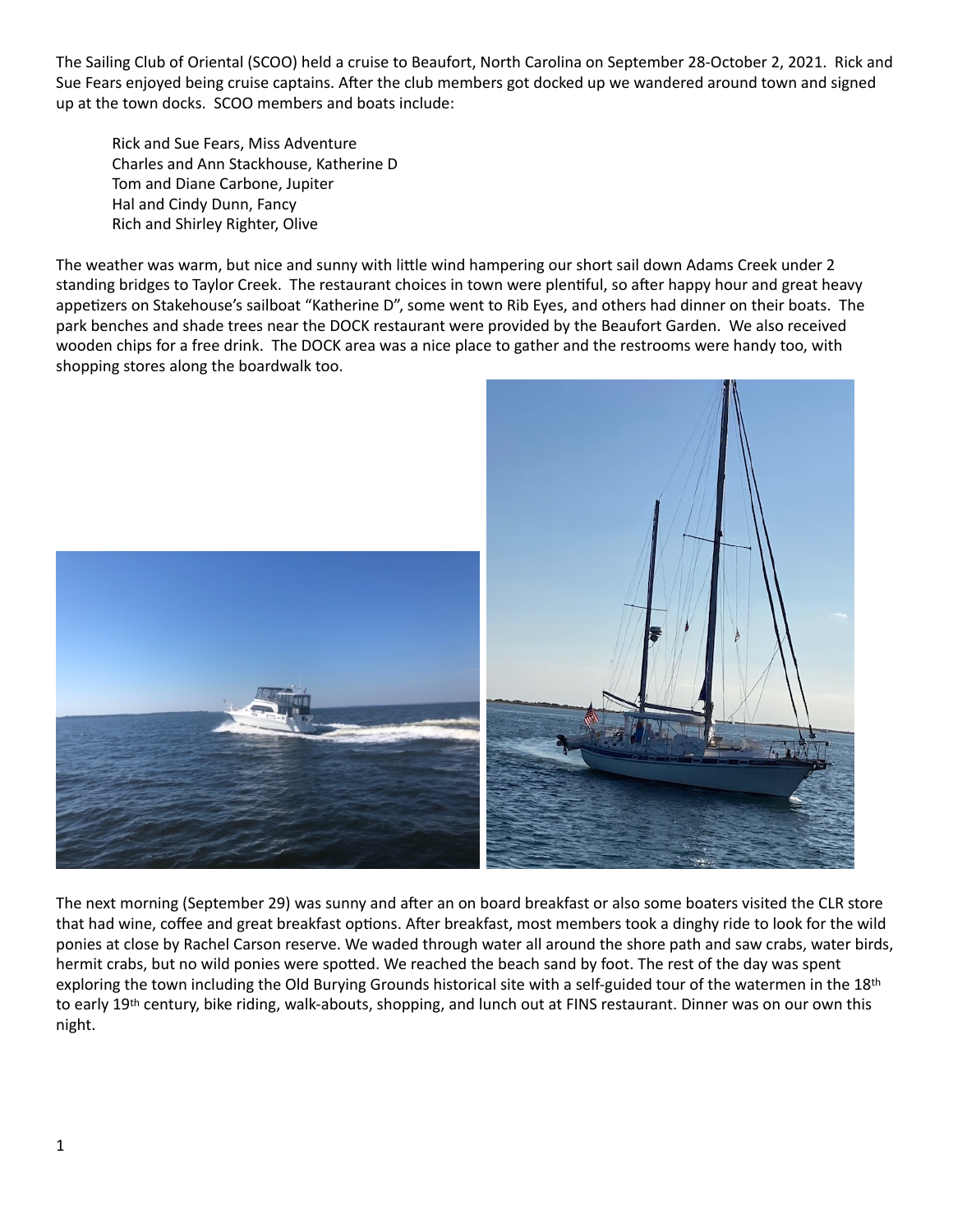The Sailing Club of Oriental (SCOO) held a cruise to Beaufort, North Carolina on September 28-October 2, 2021. Rick and Sue Fears enjoyed being cruise captains. After the club members got docked up we wandered around town and signed up at the town docks. SCOO members and boats include:

Rick and Sue Fears, Miss Adventure Charles and Ann Stackhouse, Katherine D Tom and Diane Carbone, Jupiter Hal and Cindy Dunn, Fancy Rich and Shirley Righter, Olive

The weather was warm, but nice and sunny with little wind hampering our short sail down Adams Creek under 2 standing bridges to Taylor Creek. The restaurant choices in town were plentiful, so after happy hour and great heavy appetizers on Stakehouse's sailboat "Katherine D", some went to Rib Eyes, and others had dinner on their boats. The park benches and shade trees near the DOCK restaurant were provided by the Beaufort Garden. We also received wooden chips for a free drink. The DOCK area was a nice place to gather and the restrooms were handy too, with shopping stores along the boardwalk too.



The next morning (September 29) was sunny and after an on board breakfast or also some boaters visited the CLR store that had wine, coffee and great breakfast options. After breakfast, most members took a dinghy ride to look for the wild ponies at close by Rachel Carson reserve. We waded through water all around the shore path and saw crabs, water birds, hermit crabs, but no wild ponies were spotted. We reached the beach sand by foot. The rest of the day was spent exploring the town including the Old Burying Grounds historical site with a self-guided tour of the watermen in the 18th to early 19<sup>th</sup> century, bike riding, walk-abouts, shopping, and lunch out at FINS restaurant. Dinner was on our own this night.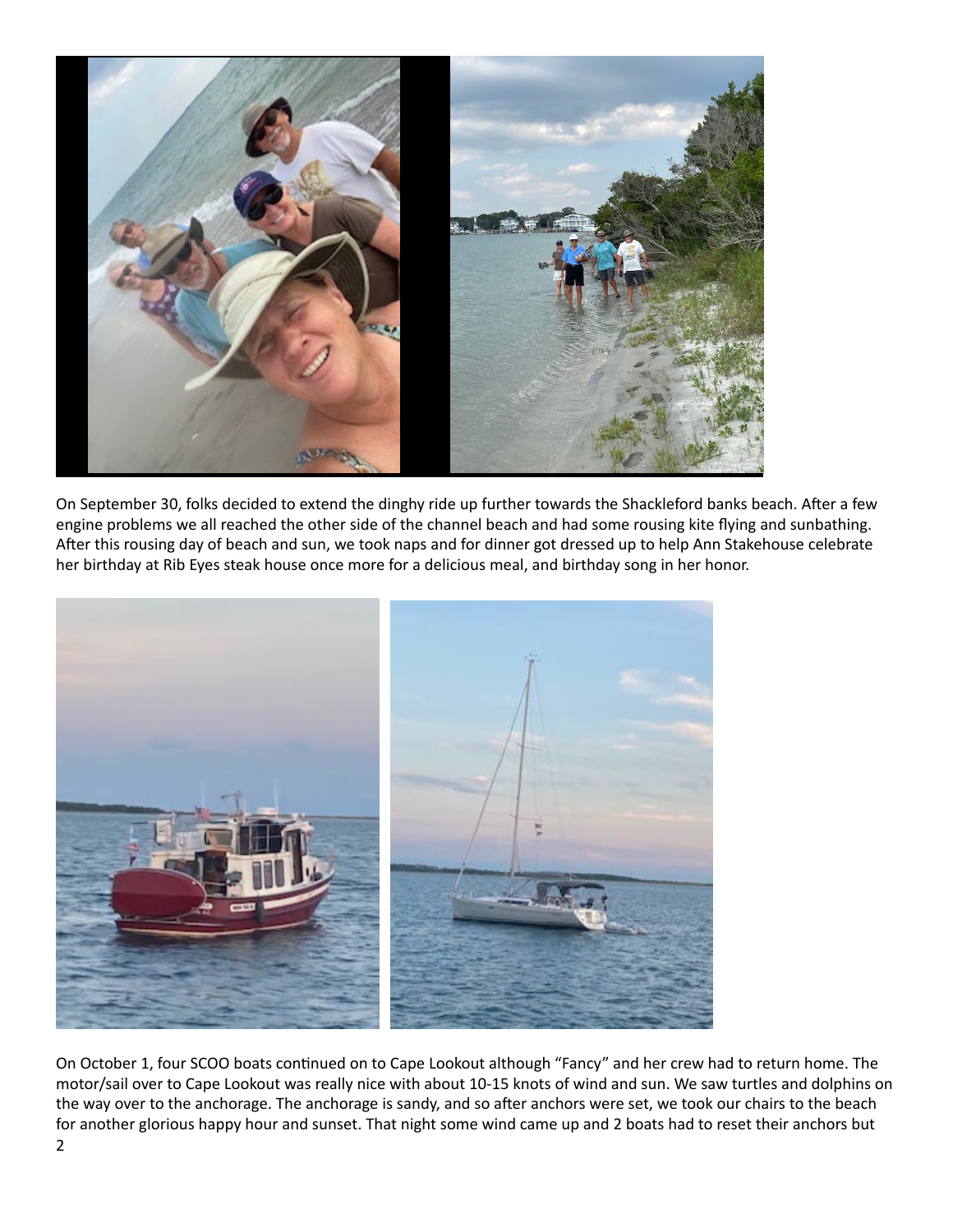

On September 30, folks decided to extend the dinghy ride up further towards the Shackleford banks beach. After a few engine problems we all reached the other side of the channel beach and had some rousing kite flying and sunbathing. After this rousing day of beach and sun, we took naps and for dinner got dressed up to help Ann Stakehouse celebrate her birthday at Rib Eyes steak house once more for a delicious meal, and birthday song in her honor.



On October 1, four SCOO boats continued on to Cape Lookout although "Fancy" and her crew had to return home. The motor/sail over to Cape Lookout was really nice with about 10-15 knots of wind and sun. We saw turtles and dolphins on the way over to the anchorage. The anchorage is sandy, and so after anchors were set, we took our chairs to the beach for another glorious happy hour and sunset. That night some wind came up and 2 boats had to reset their anchors but